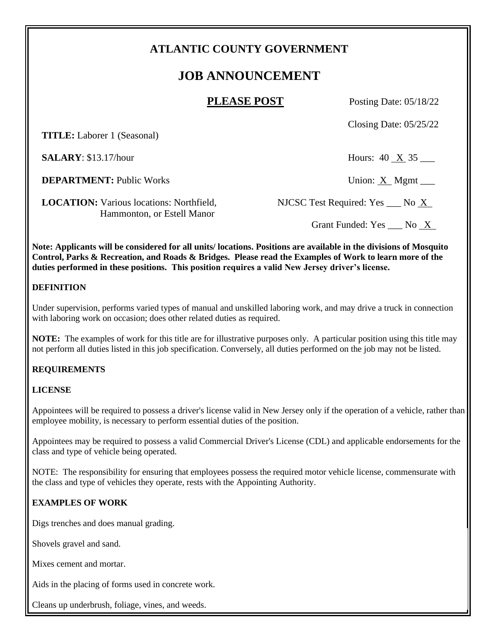# **ATLANTIC COUNTY GOVERNMENT**

# **JOB ANNOUNCEMENT**

**PLEASE POST** Posting Date: 05/18/22

Closing Date: 05/25/22

 **TITLE:** Laborer 1 (Seasonal)

**SALARY**: \$13.17/hour Hours: 40 X 35

**DEPARTMENT:** Public Works Union: X Mgmt \_\_\_

**LOCATION:** Various locations: Northfield, NJCSC Test Required: Yes \_\_\_ No X **Hammonton, or Estell Manor** 

Grant Funded: Yes \_\_\_ No \_X\_

**Note: Applicants will be considered for all units/ locations. Positions are available in the divisions of Mosquito Control, Parks & Recreation, and Roads & Bridges. Please read the Examples of Work to learn more of the duties performed in these positions. This position requires a valid New Jersey driver's license.**

#### **DEFINITION**

Under supervision, performs varied types of manual and unskilled laboring work, and may drive a truck in connection with laboring work on occasion; does other related duties as required.

**NOTE:** The examples of work for this title are for illustrative purposes only. A particular position using this title may not perform all duties listed in this job specification. Conversely, all duties performed on the job may not be listed.

## **REQUIREMENTS**

## **LICENSE**

Appointees will be required to possess a driver's license valid in New Jersey only if the operation of a vehicle, rather than employee mobility, is necessary to perform essential duties of the position.

Appointees may be required to possess a valid Commercial Driver's License (CDL) and applicable endorsements for the class and type of vehicle being operated.

NOTE: The responsibility for ensuring that employees possess the required motor vehicle license, commensurate with the class and type of vehicles they operate, rests with the Appointing Authority.

## **EXAMPLES OF WORK**

Digs trenches and does manual grading.

Shovels gravel and sand.

Mixes cement and mortar.

Aids in the placing of forms used in concrete work.

Cleans up underbrush, foliage, vines, and weeds.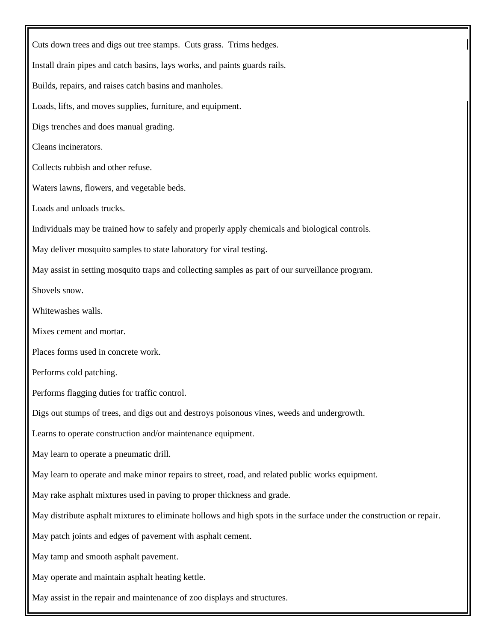Cuts down trees and digs out tree stamps. Cuts grass. Trims hedges. Install drain pipes and catch basins, lays works, and paints guards rails. Builds, repairs, and raises catch basins and manholes. Loads, lifts, and moves supplies, furniture, and equipment. Digs trenches and does manual grading. Cleans incinerators. Collects rubbish and other refuse. Waters lawns, flowers, and vegetable beds. Loads and unloads trucks. Individuals may be trained how to safely and properly apply chemicals and biological controls. May deliver mosquito samples to state laboratory for viral testing. May assist in setting mosquito traps and collecting samples as part of our surveillance program. Shovels snow. Whitewashes walls. Mixes cement and mortar. Places forms used in concrete work. Performs cold patching. Performs flagging duties for traffic control. Digs out stumps of trees, and digs out and destroys poisonous vines, weeds and undergrowth. Learns to operate construction and/or maintenance equipment. May learn to operate a pneumatic drill. May learn to operate and make minor repairs to street, road, and related public works equipment. May rake asphalt mixtures used in paving to proper thickness and grade. May distribute asphalt mixtures to eliminate hollows and high spots in the surface under the construction or repair. May patch joints and edges of pavement with asphalt cement. May tamp and smooth asphalt pavement. May operate and maintain asphalt heating kettle. May assist in the repair and maintenance of zoo displays and structures.